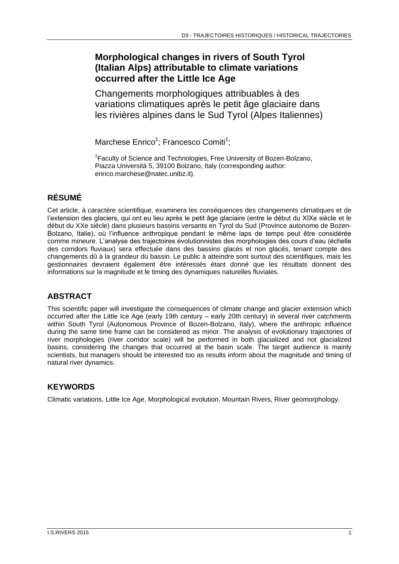# **Morphological changes in rivers of South Tyrol (Italian Alps) attributable to climate variations occurred after the Little Ice Age**

Changements morphologiques attribuables à des variations climatiques après le petit âge glaciaire dans les rivières alpines dans le Sud Tyrol (Alpes Italiennes)

Marchese Enrico<sup>1</sup>; Francesco Comiti<sup>1</sup>;

<sup>1</sup> Faculty of Science and Technologies, Free University of Bozen-Bolzano, Piazza Università 5, 39100 Bolzano, Italy (corresponding author: enrico.marchese@natec.unibz.it).

# **RÉSUMÉ**

Cet article, à caractère scientifique, examinera les conséquences des changements climatiques et de l'extension des glaciers, qui ont eu lieu après le petit âge glaciaire (entre le début du XIXe siècle et le début du XXe siècle) dans plusieurs bassins versants en Tyrol du Sud (Province autonome de Bozen-Bolzano, Italie), où l'influence anthropique pendant le même laps de temps peut être considérée comme mineure. L'analyse des trajectoires évolutionnistes des morphologies des cours d'eau (échelle des corridors fluviaux) sera effectuée dans des bassins glacés et non glacés, tenant compte des changements dû à la grandeur du bassin. Le public à atteindre sont surtout des scientifiques, mais les gestionnaires devraient également être intéressés étant donné que les résultats donnent des informations sur la magnitude et le timing des dynamiques naturelles fluviales.

## **ABSTRACT**

This scientific paper will investigate the consequences of climate change and glacier extension which occurred after the Little Ice Age (early 19th century – early 20th century) in several river catchments within South Tyrol (Autonomous Province of Bozen-Bolzano, Italy), where the anthropic influence during the same time frame can be considered as minor. The analysis of evolutionary trajectories of river morphologies (river corridor scale) will be performed in both glacialized and not glacialized basins, considering the changes that occurred at the basin scale. The target audience is mainly scientists, but managers should be interested too as results inform about the magnitude and timing of natural river dynamics.

## **KEYWORDS**

Climatic variations, Little Ice Age, Morphological evolution, Mountain Rivers, River geomorphology.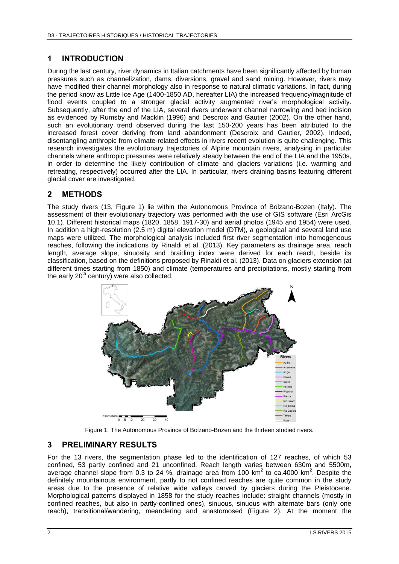### **1 INTRODUCTION**

During the last century, river dynamics in Italian catchments have been significantly affected by human pressures such as channelization, dams, diversions, gravel and sand mining. However, rivers may have modified their channel morphology also in response to natural climatic variations. In fact, during the period know as Little Ice Age (1400-1850 AD, hereafter LIA) the increased frequency/magnitude of flood events coupled to a stronger glacial activity augmented river's morphological activity. Subsequently, after the end of the LIA, several rivers underwent channel narrowing and bed incision as evidenced by Rumsby and Macklin (1996) and Descroix and Gautier (2002). On the other hand, such an evolutionary trend observed during the last 150-200 years has been attributed to the increased forest cover deriving from land abandonment (Descroix and Gautier, 2002). Indeed, disentangling anthropic from climate-related effects in rivers recent evolution is quite challenging. This research investigates the evolutionary trajectories of Alpine mountain rivers, analysing in particular channels where anthropic pressures were relatively steady between the end of the LIA and the 1950s, in order to determine the likely contribution of climate and glaciers variations (i.e. warming and retreating, respectively) occurred after the LIA. In particular, rivers draining basins featuring different glacial cover are investigated.

### **2 METHODS**

The study rivers (13, Figure 1) lie within the Autonomous Province of Bolzano-Bozen (Italy). The assessment of their evolutionary trajectory was performed with the use of GIS software (Esri ArcGis 10.1). Different historical maps (1820, 1858, 1917-30) and aerial photos (1945 and 1954) were used. In addition a high-resolution (2.5 m) digital elevation model (DTM), a geological and several land use maps were utilized. The morphological analysis included first river segmentation into homogeneous reaches, following the indications by Rinaldi et al. (2013). Key parameters as drainage area, reach length, average slope, sinuosity and braiding index were derived for each reach, beside its classification, based on the definitions proposed by Rinaldi et al. (2013). Data on glaciers extension (at different times starting from 1850) and climate (temperatures and precipitations, mostly starting from the early  $20<sup>th</sup>$  century) were also collected.



Figure 1: The Autonomous Province of Bolzano-Bozen and the thirteen studied rivers.

#### **3 PRELIMINARY RESULTS**

For the 13 rivers, the segmentation phase led to the identification of 127 reaches, of which 53 confined, 53 partly confined and 21 unconfined. Reach length varies between 630m and 5500m, average channel slope from 0.3 to 24 %, drainage area from 100 km<sup>2</sup> to ca.4000 km<sup>2</sup>. Despite the definitely mountainous environment, partly to not confined reaches are quite common in the study areas due to the presence of relative wide valleys carved by glaciers during the Pleistocene. Morphological patterns displayed in 1858 for the study reaches include: straight channels (mostly in confined reaches, but also in partly-confined ones), sinuous, sinuous with alternate bars (only one reach), transitional/wandering, meandering and anastomosed (Figure 2). At the moment the